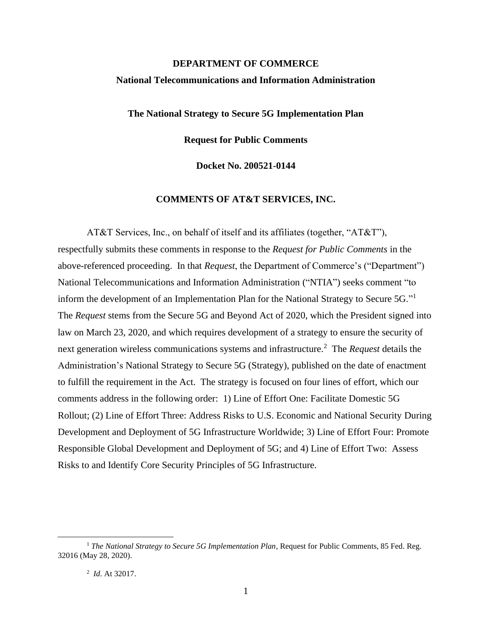# **DEPARTMENT OF COMMERCE National Telecommunications and Information Administration**

**The National Strategy to Secure 5G Implementation Plan**

**Request for Public Comments**

**Docket No. 200521-0144**

# **COMMENTS OF AT&T SERVICES, INC.**

AT&T Services, Inc., on behalf of itself and its affiliates (together, "AT&T"), respectfully submits these comments in response to the *Request for Public Comments* in the above-referenced proceeding. In that *Request*, the Department of Commerce's ("Department") National Telecommunications and Information Administration ("NTIA") seeks comment "to inform the development of an Implementation Plan for the National Strategy to Secure 5G."<sup>1</sup> The *Request* stems from the Secure 5G and Beyond Act of 2020, which the President signed into law on March 23, 2020, and which requires development of a strategy to ensure the security of next generation wireless communications systems and infrastructure.<sup>2</sup> The *Request* details the Administration's National Strategy to Secure 5G (Strategy), published on the date of enactment to fulfill the requirement in the Act. The strategy is focused on four lines of effort, which our comments address in the following order: 1) Line of Effort One: Facilitate Domestic 5G Rollout; (2) Line of Effort Three: Address Risks to U.S. Economic and National Security During Development and Deployment of 5G Infrastructure Worldwide; 3) Line of Effort Four: Promote Responsible Global Development and Deployment of 5G; and 4) Line of Effort Two: Assess Risks to and Identify Core Security Principles of 5G Infrastructure.

<sup>&</sup>lt;sup>1</sup> The National Strategy to Secure 5G Implementation Plan, Request for Public Comments, 85 Fed. Reg. 32016 (May 28, 2020).

<sup>2</sup> *Id*. At 32017.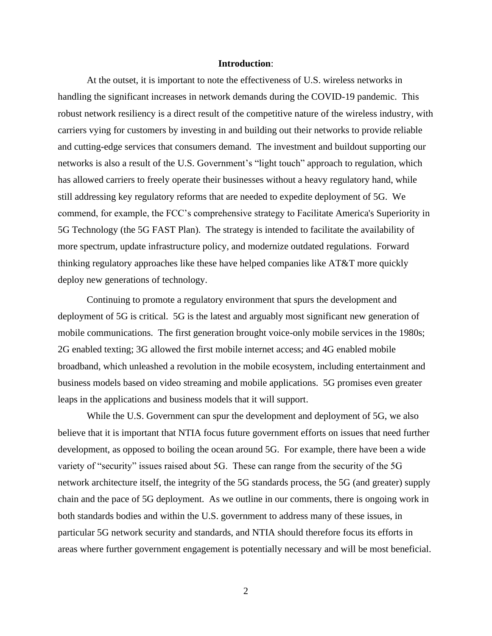#### **Introduction**:

At the outset, it is important to note the effectiveness of U.S. wireless networks in handling the significant increases in network demands during the COVID-19 pandemic. This robust network resiliency is a direct result of the competitive nature of the wireless industry, with carriers vying for customers by investing in and building out their networks to provide reliable and cutting-edge services that consumers demand. The investment and buildout supporting our networks is also a result of the U.S. Government's "light touch" approach to regulation, which has allowed carriers to freely operate their businesses without a heavy regulatory hand, while still addressing key regulatory reforms that are needed to expedite deployment of 5G. We commend, for example, the FCC's comprehensive strategy to Facilitate America's Superiority in 5G Technology (the 5G FAST Plan). The strategy is intended to facilitate the availability of more spectrum, update infrastructure policy, and modernize outdated regulations. Forward thinking regulatory approaches like these have helped companies like AT&T more quickly deploy new generations of technology.

Continuing to promote a regulatory environment that spurs the development and deployment of 5G is critical. 5G is the latest and arguably most significant new generation of mobile communications. The first generation brought voice-only mobile services in the 1980s; 2G enabled texting; 3G allowed the first mobile internet access; and 4G enabled mobile broadband, which unleashed a revolution in the mobile ecosystem, including entertainment and business models based on video streaming and mobile applications. 5G promises even greater leaps in the applications and business models that it will support.

While the U.S. Government can spur the development and deployment of 5G, we also believe that it is important that NTIA focus future government efforts on issues that need further development, as opposed to boiling the ocean around 5G. For example, there have been a wide variety of "security" issues raised about 5G. These can range from the security of the 5G network architecture itself, the integrity of the 5G standards process, the 5G (and greater) supply chain and the pace of 5G deployment. As we outline in our comments, there is ongoing work in both standards bodies and within the U.S. government to address many of these issues, in particular 5G network security and standards, and NTIA should therefore focus its efforts in areas where further government engagement is potentially necessary and will be most beneficial.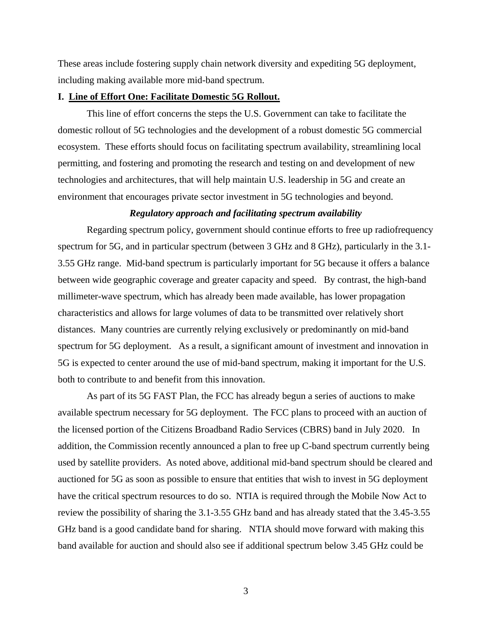These areas include fostering supply chain network diversity and expediting 5G deployment, including making available more mid-band spectrum.

# **I. Line of Effort One: Facilitate Domestic 5G Rollout.**

This line of effort concerns the steps the U.S. Government can take to facilitate the domestic rollout of 5G technologies and the development of a robust domestic 5G commercial ecosystem. These efforts should focus on facilitating spectrum availability, streamlining local permitting, and fostering and promoting the research and testing on and development of new technologies and architectures, that will help maintain U.S. leadership in 5G and create an environment that encourages private sector investment in 5G technologies and beyond.

# *Regulatory approach and facilitating spectrum availability*

Regarding spectrum policy, government should continue efforts to free up radiofrequency spectrum for 5G, and in particular spectrum (between 3 GHz and 8 GHz), particularly in the 3.1- 3.55 GHz range. Mid-band spectrum is particularly important for 5G because it offers a balance between wide geographic coverage and greater capacity and speed. By contrast, the high-band millimeter-wave spectrum, which has already been made available, has lower propagation characteristics and allows for large volumes of data to be transmitted over relatively short distances. Many countries are currently relying exclusively or predominantly on mid-band spectrum for 5G deployment. As a result, a significant amount of investment and innovation in 5G is expected to center around the use of mid-band spectrum, making it important for the U.S. both to contribute to and benefit from this innovation.

As part of its 5G FAST Plan, the FCC has already begun a series of auctions to make available spectrum necessary for 5G deployment. The FCC plans to proceed with an auction of the licensed portion of the Citizens Broadband Radio Services (CBRS) band in July 2020. In addition, the Commission recently announced a plan to free up C-band spectrum currently being used by satellite providers. As noted above, additional mid-band spectrum should be cleared and auctioned for 5G as soon as possible to ensure that entities that wish to invest in 5G deployment have the critical spectrum resources to do so. NTIA is required through the Mobile Now Act to review the possibility of sharing the 3.1-3.55 GHz band and has already stated that the 3.45-3.55 GHz band is a good candidate band for sharing. NTIA should move forward with making this band available for auction and should also see if additional spectrum below 3.45 GHz could be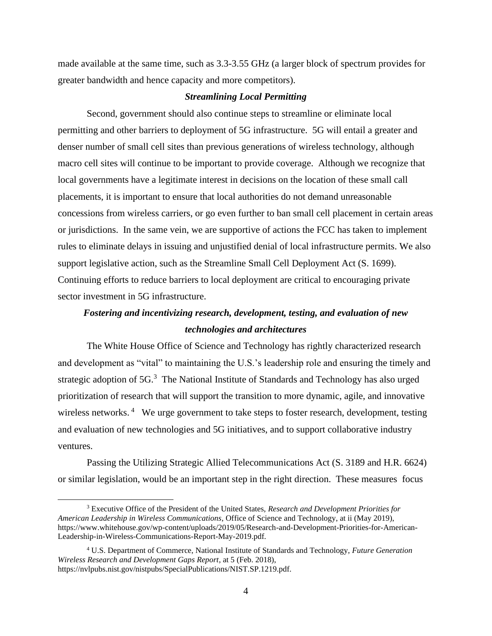made available at the same time, such as 3.3-3.55 GHz (a larger block of spectrum provides for greater bandwidth and hence capacity and more competitors).

# *Streamlining Local Permitting*

Second, government should also continue steps to streamline or eliminate local permitting and other barriers to deployment of 5G infrastructure. 5G will entail a greater and denser number of small cell sites than previous generations of wireless technology, although macro cell sites will continue to be important to provide coverage. Although we recognize that local governments have a legitimate interest in decisions on the location of these small call placements, it is important to ensure that local authorities do not demand unreasonable concessions from wireless carriers, or go even further to ban small cell placement in certain areas or jurisdictions. In the same vein, we are supportive of actions the FCC has taken to implement rules to eliminate delays in issuing and unjustified denial of local infrastructure permits. We also support legislative action, such as the Streamline Small Cell Deployment Act (S. 1699). Continuing efforts to reduce barriers to local deployment are critical to encouraging private sector investment in 5G infrastructure.

# *Fostering and incentivizing research, development, testing, and evaluation of new technologies and architectures*

The White House Office of Science and Technology has rightly characterized research and development as "vital" to maintaining the U.S.'s leadership role and ensuring the timely and strategic adoption of  $5G<sup>3</sup>$ . The National Institute of Standards and Technology has also urged prioritization of research that will support the transition to more dynamic, agile, and innovative wireless networks.<sup>4</sup> We urge government to take steps to foster research, development, testing and evaluation of new technologies and 5G initiatives, and to support collaborative industry ventures.

Passing the Utilizing Strategic Allied Telecommunications Act (S. 3189 and H.R. 6624) or similar legislation, would be an important step in the right direction. These measures focus

<sup>3</sup> Executive Office of the President of the United States, *Research and Development Priorities for American Leadership in Wireless Communications*, Office of Science and Technology, at ii (May 2019), https://www.whitehouse.gov/wp-content/uploads/2019/05/Research-and-Development-Priorities-for-American-Leadership-in-Wireless-Communications-Report-May-2019.pdf.

<sup>4</sup> U.S. Department of Commerce, National Institute of Standards and Technology, *Future Generation Wireless Research and Development Gaps Report*, at 5 (Feb. 2018), https://nvlpubs.nist.gov/nistpubs/SpecialPublications/NIST.SP.1219.pdf.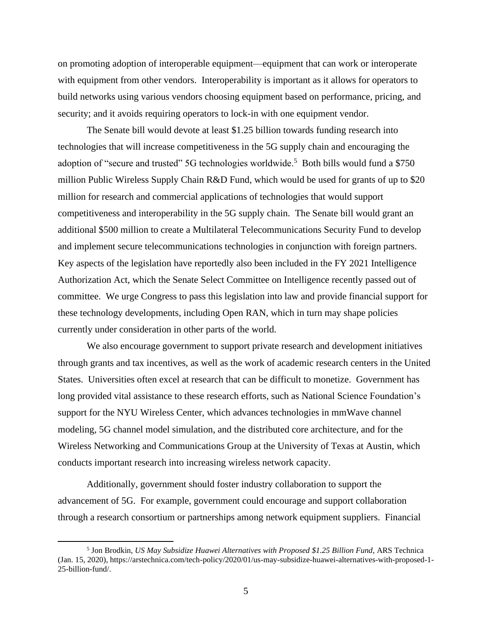on promoting adoption of interoperable equipment—equipment that can work or interoperate with equipment from other vendors. Interoperability is important as it allows for operators to build networks using various vendors choosing equipment based on performance, pricing, and security; and it avoids requiring operators to lock-in with one equipment vendor.

The Senate bill would devote at least \$1.25 billion towards funding research into technologies that will increase competitiveness in the 5G supply chain and encouraging the adoption of "secure and trusted" 5G technologies worldwide.<sup>5</sup> Both bills would fund a \$750 million Public Wireless Supply Chain R&D Fund, which would be used for grants of up to \$20 million for research and commercial applications of technologies that would support competitiveness and interoperability in the 5G supply chain. The Senate bill would grant an additional \$500 million to create a Multilateral Telecommunications Security Fund to develop and implement secure telecommunications technologies in conjunction with foreign partners. Key aspects of the legislation have reportedly also been included in the FY 2021 Intelligence Authorization Act, which the Senate Select Committee on Intelligence recently passed out of committee. We urge Congress to pass this legislation into law and provide financial support for these technology developments, including Open RAN, which in turn may shape policies currently under consideration in other parts of the world.

We also encourage government to support private research and development initiatives through grants and tax incentives, as well as the work of academic research centers in the United States. Universities often excel at research that can be difficult to monetize. Government has long provided vital assistance to these research efforts, such as National Science Foundation's support for the NYU Wireless Center, which advances technologies in mmWave channel modeling, 5G channel model simulation, and the distributed core architecture, and for the Wireless Networking and Communications Group at the University of Texas at Austin, which conducts important research into increasing wireless network capacity.

Additionally, government should foster industry collaboration to support the advancement of 5G. For example, government could encourage and support collaboration through a research consortium or partnerships among network equipment suppliers. Financial

<sup>5</sup> Jon Brodkin, *US May Subsidize Huawei Alternatives with Proposed \$1.25 Billion Fund*, ARS Technica (Jan. 15, 2020), https://arstechnica.com/tech-policy/2020/01/us-may-subsidize-huawei-alternatives-with-proposed-1- 25-billion-fund/.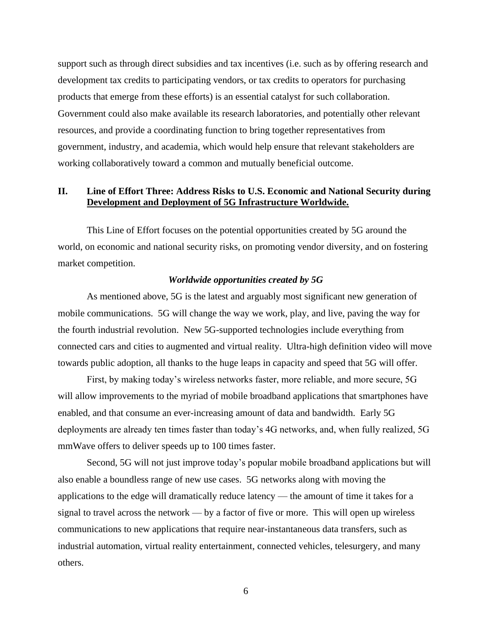support such as through direct subsidies and tax incentives (i.e. such as by offering research and development tax credits to participating vendors, or tax credits to operators for purchasing products that emerge from these efforts) is an essential catalyst for such collaboration. Government could also make available its research laboratories, and potentially other relevant resources, and provide a coordinating function to bring together representatives from government, industry, and academia, which would help ensure that relevant stakeholders are working collaboratively toward a common and mutually beneficial outcome.

# **II. Line of Effort Three: Address Risks to U.S. Economic and National Security during Development and Deployment of 5G Infrastructure Worldwide.**

This Line of Effort focuses on the potential opportunities created by 5G around the world, on economic and national security risks, on promoting vendor diversity, and on fostering market competition.

# *Worldwide opportunities created by 5G*

As mentioned above, 5G is the latest and arguably most significant new generation of mobile communications. 5G will change the way we work, play, and live, paving the way for the fourth industrial revolution. New 5G-supported technologies include everything from connected cars and cities to augmented and virtual reality. Ultra-high definition video will move towards public adoption, all thanks to the huge leaps in capacity and speed that 5G will offer.

First, by making today's wireless networks faster, more reliable, and more secure, 5G will allow improvements to the myriad of mobile broadband applications that smartphones have enabled, and that consume an ever-increasing amount of data and bandwidth. Early 5G deployments are already ten times faster than today's 4G networks, and, when fully realized, 5G mmWave offers to deliver speeds up to 100 times faster.

Second, 5G will not just improve today's popular mobile broadband applications but will also enable a boundless range of new use cases. 5G networks along with moving the applications to the edge will dramatically reduce latency — the amount of time it takes for a signal to travel across the network — by a factor of five or more. This will open up wireless communications to new applications that require near-instantaneous data transfers, such as industrial automation, virtual reality entertainment, connected vehicles, telesurgery, and many others.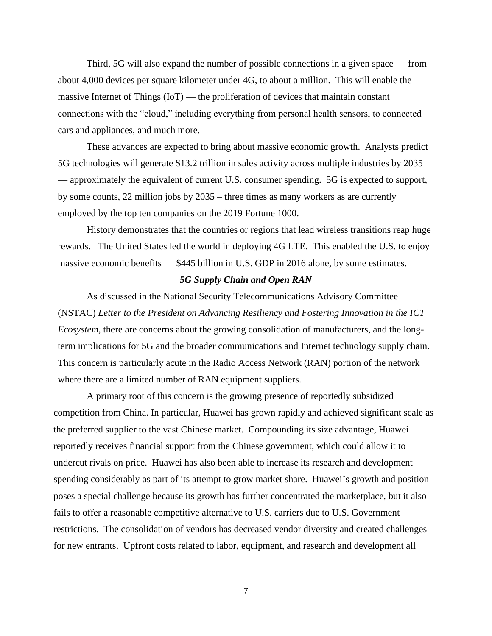Third, 5G will also expand the number of possible connections in a given space — from about 4,000 devices per square kilometer under 4G, to about a million. This will enable the massive Internet of Things (IoT) — the proliferation of devices that maintain constant connections with the "cloud," including everything from personal health sensors, to connected cars and appliances, and much more.

These advances are expected to bring about massive economic growth. Analysts predict 5G technologies will generate \$13.2 trillion in sales activity across multiple industries by 2035 — approximately the equivalent of current U.S. consumer spending. 5G is expected to support, by some counts, 22 million jobs by 2035 – three times as many workers as are currently employed by the top ten companies on the 2019 Fortune 1000.

History demonstrates that the countries or regions that lead wireless transitions reap huge rewards. The United States led the world in deploying 4G LTE. This enabled the U.S. to enjoy massive economic benefits — \$445 billion in U.S. GDP in 2016 alone, by some estimates.

# *5G Supply Chain and Open RAN*

As discussed in the National Security Telecommunications Advisory Committee (NSTAC) *Letter to the President on Advancing Resiliency and Fostering Innovation in the ICT Ecosystem*, there are concerns about the growing consolidation of manufacturers, and the longterm implications for 5G and the broader communications and Internet technology supply chain. This concern is particularly acute in the Radio Access Network (RAN) portion of the network where there are a limited number of RAN equipment suppliers.

A primary root of this concern is the growing presence of reportedly subsidized competition from China. In particular, Huawei has grown rapidly and achieved significant scale as the preferred supplier to the vast Chinese market. Compounding its size advantage, Huawei reportedly receives financial support from the Chinese government, which could allow it to undercut rivals on price. Huawei has also been able to increase its research and development spending considerably as part of its attempt to grow market share. Huawei's growth and position poses a special challenge because its growth has further concentrated the marketplace, but it also fails to offer a reasonable competitive alternative to U.S. carriers due to U.S. Government restrictions. The consolidation of vendors has decreased vendor diversity and created challenges for new entrants. Upfront costs related to labor, equipment, and research and development all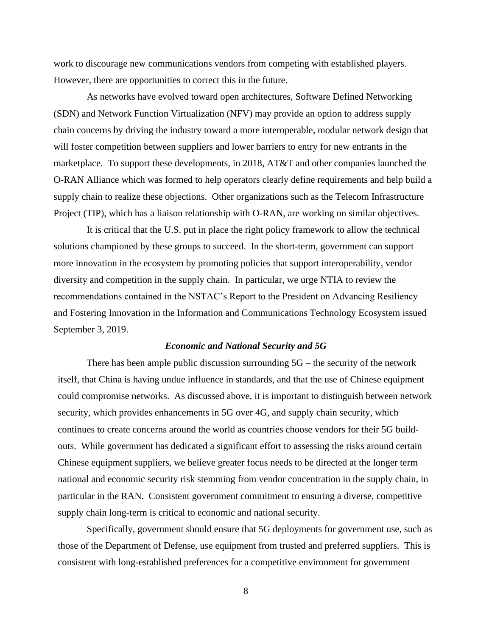work to discourage new communications vendors from competing with established players. However, there are opportunities to correct this in the future.

As networks have evolved toward open architectures, Software Defined Networking (SDN) and Network Function Virtualization (NFV) may provide an option to address supply chain concerns by driving the industry toward a more interoperable, modular network design that will foster competition between suppliers and lower barriers to entry for new entrants in the marketplace. To support these developments, in 2018, AT&T and other companies launched the O-RAN Alliance which was formed to help operators clearly define requirements and help build a supply chain to realize these objections. Other organizations such as the Telecom Infrastructure Project (TIP), which has a liaison relationship with O-RAN, are working on similar objectives.

It is critical that the U.S. put in place the right policy framework to allow the technical solutions championed by these groups to succeed. In the short-term, government can support more innovation in the ecosystem by promoting policies that support interoperability, vendor diversity and competition in the supply chain. In particular, we urge NTIA to review the recommendations contained in the NSTAC's Report to the President on Advancing Resiliency and Fostering Innovation in the Information and Communications Technology Ecosystem issued September 3, 2019.

#### *Economic and National Security and 5G*

There has been ample public discussion surrounding  $5G$  – the security of the network itself, that China is having undue influence in standards, and that the use of Chinese equipment could compromise networks. As discussed above, it is important to distinguish between network security, which provides enhancements in 5G over 4G, and supply chain security, which continues to create concerns around the world as countries choose vendors for their 5G buildouts. While government has dedicated a significant effort to assessing the risks around certain Chinese equipment suppliers, we believe greater focus needs to be directed at the longer term national and economic security risk stemming from vendor concentration in the supply chain, in particular in the RAN. Consistent government commitment to ensuring a diverse, competitive supply chain long-term is critical to economic and national security.

Specifically, government should ensure that 5G deployments for government use, such as those of the Department of Defense, use equipment from trusted and preferred suppliers. This is consistent with long-established preferences for a competitive environment for government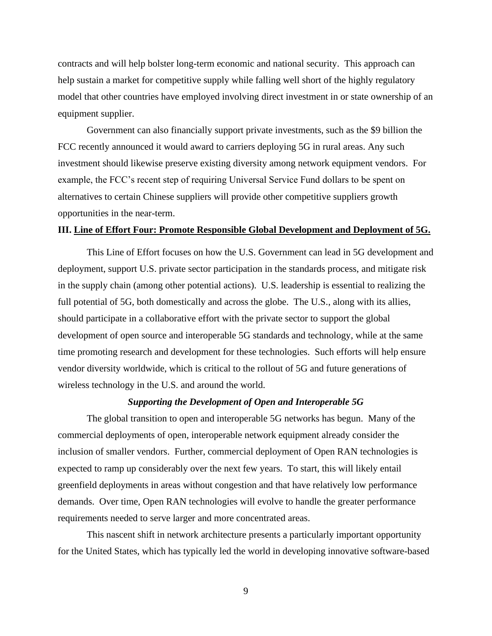contracts and will help bolster long-term economic and national security. This approach can help sustain a market for competitive supply while falling well short of the highly regulatory model that other countries have employed involving direct investment in or state ownership of an equipment supplier.

Government can also financially support private investments, such as the \$9 billion the FCC recently announced it would award to carriers deploying 5G in rural areas. Any such investment should likewise preserve existing diversity among network equipment vendors. For example, the FCC's recent step of requiring Universal Service Fund dollars to be spent on alternatives to certain Chinese suppliers will provide other competitive suppliers growth opportunities in the near-term.

# **III. Line of Effort Four: Promote Responsible Global Development and Deployment of 5G.**

This Line of Effort focuses on how the U.S. Government can lead in 5G development and deployment, support U.S. private sector participation in the standards process, and mitigate risk in the supply chain (among other potential actions). U.S. leadership is essential to realizing the full potential of 5G, both domestically and across the globe. The U.S., along with its allies, should participate in a collaborative effort with the private sector to support the global development of open source and interoperable 5G standards and technology, while at the same time promoting research and development for these technologies. Such efforts will help ensure vendor diversity worldwide, which is critical to the rollout of 5G and future generations of wireless technology in the U.S. and around the world.

# *Supporting the Development of Open and Interoperable 5G*

The global transition to open and interoperable 5G networks has begun. Many of the commercial deployments of open, interoperable network equipment already consider the inclusion of smaller vendors. Further, commercial deployment of Open RAN technologies is expected to ramp up considerably over the next few years. To start, this will likely entail greenfield deployments in areas without congestion and that have relatively low performance demands. Over time, Open RAN technologies will evolve to handle the greater performance requirements needed to serve larger and more concentrated areas.

This nascent shift in network architecture presents a particularly important opportunity for the United States, which has typically led the world in developing innovative software-based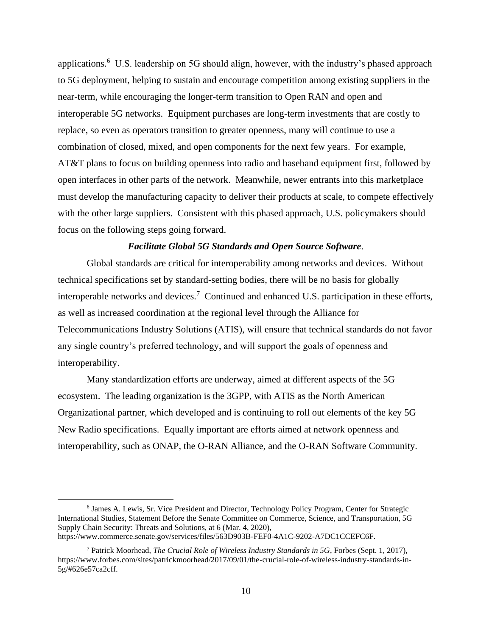applications.<sup>6</sup> U.S. leadership on 5G should align, however, with the industry's phased approach to 5G deployment, helping to sustain and encourage competition among existing suppliers in the near-term, while encouraging the longer-term transition to Open RAN and open and interoperable 5G networks. Equipment purchases are long-term investments that are costly to replace, so even as operators transition to greater openness, many will continue to use a combination of closed, mixed, and open components for the next few years. For example, AT&T plans to focus on building openness into radio and baseband equipment first, followed by open interfaces in other parts of the network. Meanwhile, newer entrants into this marketplace must develop the manufacturing capacity to deliver their products at scale, to compete effectively with the other large suppliers. Consistent with this phased approach, U.S. policymakers should focus on the following steps going forward.

#### *Facilitate Global 5G Standards and Open Source Software*.

Global standards are critical for interoperability among networks and devices. Without technical specifications set by standard-setting bodies, there will be no basis for globally interoperable networks and devices.<sup>7</sup> Continued and enhanced U.S. participation in these efforts, as well as increased coordination at the regional level through the Alliance for Telecommunications Industry Solutions (ATIS), will ensure that technical standards do not favor any single country's preferred technology, and will support the goals of openness and interoperability.

Many standardization efforts are underway, aimed at different aspects of the 5G ecosystem. The leading organization is the 3GPP, with ATIS as the North American Organizational partner, which developed and is continuing to roll out elements of the key 5G New Radio specifications. Equally important are efforts aimed at network openness and interoperability, such as ONAP, the O-RAN Alliance, and the O-RAN Software Community.

<sup>6</sup> James A. Lewis, Sr. Vice President and Director, Technology Policy Program, Center for Strategic International Studies, Statement Before the Senate Committee on Commerce, Science, and Transportation, 5G Supply Chain Security: Threats and Solutions, at 6 (Mar. 4, 2020), https://www.commerce.senate.gov/services/files/563D903B-FEF0-4A1C-9202-A7DC1CCEFC6F.

<sup>7</sup> Patrick Moorhead, *The Crucial Role of Wireless Industry Standards in 5G*, Forbes (Sept. 1, 2017), https://www.forbes.com/sites/patrickmoorhead/2017/09/01/the-crucial-role-of-wireless-industry-standards-in-5g/#626e57ca2cff.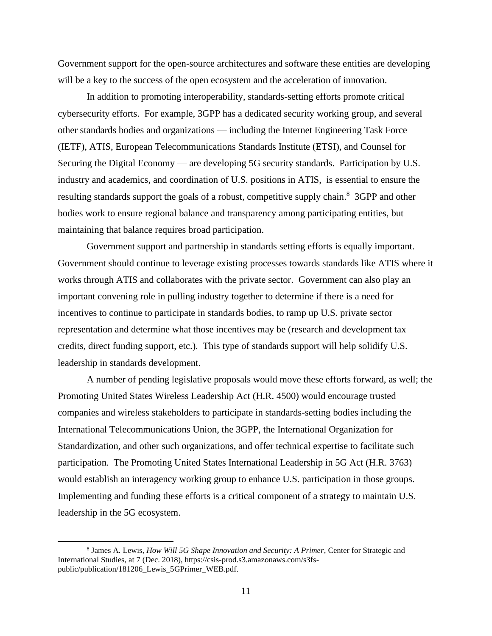Government support for the open-source architectures and software these entities are developing will be a key to the success of the open ecosystem and the acceleration of innovation.

In addition to promoting interoperability, standards-setting efforts promote critical cybersecurity efforts. For example, 3GPP has a dedicated security working group, and several other standards bodies and organizations — including the Internet Engineering Task Force (IETF), ATIS, European Telecommunications Standards Institute (ETSI), and Counsel for Securing the Digital Economy — are developing 5G security standards. Participation by U.S. industry and academics, and coordination of U.S. positions in ATIS, is essential to ensure the resulting standards support the goals of a robust, competitive supply chain.<sup>8</sup> 3GPP and other bodies work to ensure regional balance and transparency among participating entities, but maintaining that balance requires broad participation.

Government support and partnership in standards setting efforts is equally important. Government should continue to leverage existing processes towards standards like ATIS where it works through ATIS and collaborates with the private sector. Government can also play an important convening role in pulling industry together to determine if there is a need for incentives to continue to participate in standards bodies, to ramp up U.S. private sector representation and determine what those incentives may be (research and development tax credits, direct funding support, etc.). This type of standards support will help solidify U.S. leadership in standards development.

A number of pending legislative proposals would move these efforts forward, as well; the Promoting United States Wireless Leadership Act (H.R. 4500) would encourage trusted companies and wireless stakeholders to participate in standards-setting bodies including the International Telecommunications Union, the 3GPP, the International Organization for Standardization, and other such organizations, and offer technical expertise to facilitate such participation. The Promoting United States International Leadership in 5G Act (H.R. 3763) would establish an interagency working group to enhance U.S. participation in those groups. Implementing and funding these efforts is a critical component of a strategy to maintain U.S. leadership in the 5G ecosystem.

<sup>8</sup> James A. Lewis, *How Will 5G Shape Innovation and Security: A Primer*, Center for Strategic and International Studies, at 7 (Dec. 2018), https://csis-prod.s3.amazonaws.com/s3fspublic/publication/181206\_Lewis\_5GPrimer\_WEB.pdf.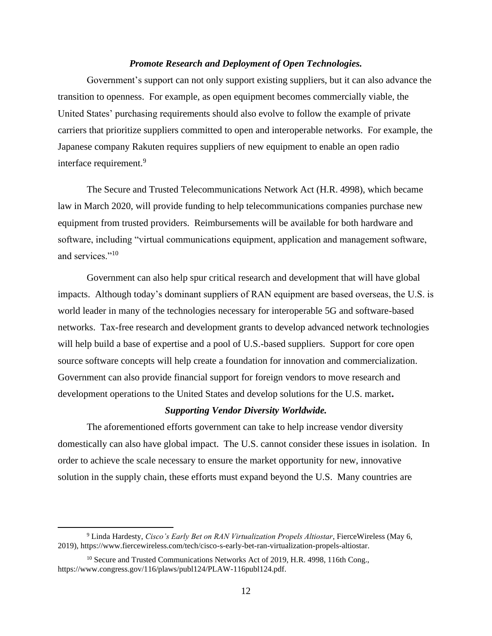# *Promote Research and Deployment of Open Technologies.*

Government's support can not only support existing suppliers, but it can also advance the transition to openness. For example, as open equipment becomes commercially viable, the United States' purchasing requirements should also evolve to follow the example of private carriers that prioritize suppliers committed to open and interoperable networks. For example, the Japanese company Rakuten requires suppliers of new equipment to enable an open radio interface requirement.<sup>9</sup>

The Secure and Trusted Telecommunications Network Act (H.R. 4998), which became law in March 2020, will provide funding to help telecommunications companies purchase new equipment from trusted providers. Reimbursements will be available for both hardware and software, including "virtual communications equipment, application and management software, and services."<sup>10</sup>

Government can also help spur critical research and development that will have global impacts. Although today's dominant suppliers of RAN equipment are based overseas, the U.S. is world leader in many of the technologies necessary for interoperable 5G and software-based networks. Tax-free research and development grants to develop advanced network technologies will help build a base of expertise and a pool of U.S.-based suppliers. Support for core open source software concepts will help create a foundation for innovation and commercialization. Government can also provide financial support for foreign vendors to move research and development operations to the United States and develop solutions for the U.S. market**.**

#### *Supporting Vendor Diversity Worldwide.*

The aforementioned efforts government can take to help increase vendor diversity domestically can also have global impact. The U.S. cannot consider these issues in isolation. In order to achieve the scale necessary to ensure the market opportunity for new, innovative solution in the supply chain, these efforts must expand beyond the U.S. Many countries are

<sup>9</sup> Linda Hardesty, *Cisco's Early Bet on RAN Virtualization Propels Altiostar*, FierceWireless (May 6, 2019), https://www.fiercewireless.com/tech/cisco-s-early-bet-ran-virtualization-propels-altiostar.

<sup>&</sup>lt;sup>10</sup> Secure and Trusted Communications Networks Act of 2019, H.R. 4998, 116th Cong., https://www.congress.gov/116/plaws/publ124/PLAW-116publ124.pdf.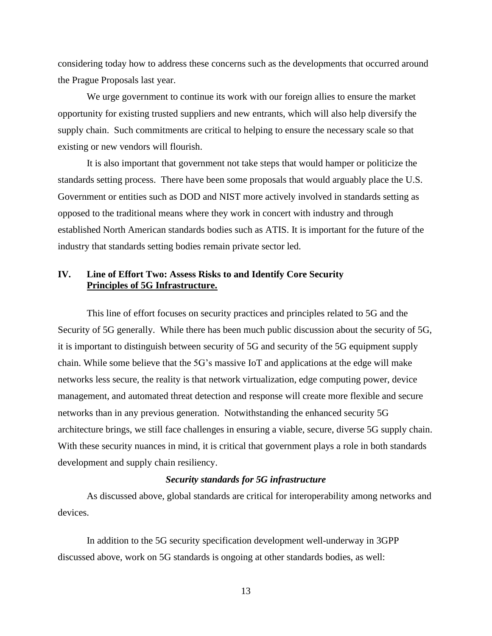considering today how to address these concerns such as the developments that occurred around the Prague Proposals last year.

We urge government to continue its work with our foreign allies to ensure the market opportunity for existing trusted suppliers and new entrants, which will also help diversify the supply chain. Such commitments are critical to helping to ensure the necessary scale so that existing or new vendors will flourish.

It is also important that government not take steps that would hamper or politicize the standards setting process. There have been some proposals that would arguably place the U.S. Government or entities such as DOD and NIST more actively involved in standards setting as opposed to the traditional means where they work in concert with industry and through established North American standards bodies such as ATIS. It is important for the future of the industry that standards setting bodies remain private sector led.

# **IV. Line of Effort Two: Assess Risks to and Identify Core Security Principles of 5G Infrastructure.**

This line of effort focuses on security practices and principles related to 5G and the Security of 5G generally. While there has been much public discussion about the security of 5G, it is important to distinguish between security of 5G and security of the 5G equipment supply chain. While some believe that the 5G's massive IoT and applications at the edge will make networks less secure, the reality is that network virtualization, edge computing power, device management, and automated threat detection and response will create more flexible and secure networks than in any previous generation. Notwithstanding the enhanced security 5G architecture brings, we still face challenges in ensuring a viable, secure, diverse 5G supply chain. With these security nuances in mind, it is critical that government plays a role in both standards development and supply chain resiliency.

#### *Security standards for 5G infrastructure*

As discussed above, global standards are critical for interoperability among networks and devices.

In addition to the 5G security specification development well-underway in 3GPP discussed above, work on 5G standards is ongoing at other standards bodies, as well: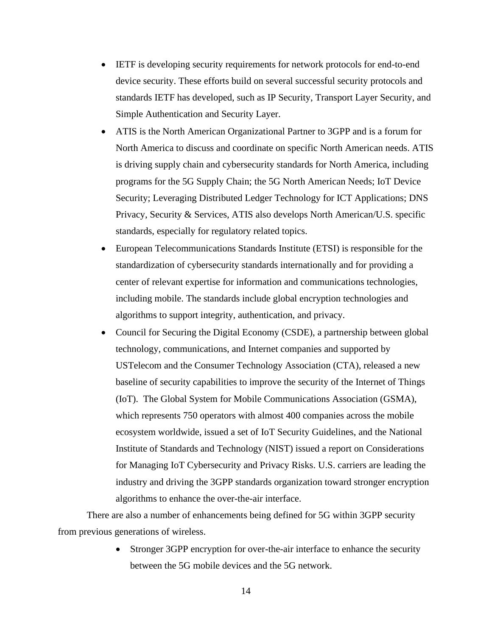- IETF is developing security requirements for network protocols for end-to-end device security. These efforts build on several successful security protocols and standards IETF has developed, such as IP Security, Transport Layer Security, and Simple Authentication and Security Layer.
- ATIS is the North American Organizational Partner to 3GPP and is a forum for North America to discuss and coordinate on specific North American needs. ATIS is driving supply chain and cybersecurity standards for North America, including programs for the 5G Supply Chain; the 5G North American Needs; IoT Device Security; Leveraging Distributed Ledger Technology for ICT Applications; DNS Privacy, Security & Services, ATIS also develops North American/U.S. specific standards, especially for regulatory related topics.
- European Telecommunications Standards Institute (ETSI) is responsible for the standardization of cybersecurity standards internationally and for providing a center of relevant expertise for information and communications technologies, including mobile. The standards include global encryption technologies and algorithms to support integrity, authentication, and privacy.
- Council for Securing the Digital Economy (CSDE), a partnership between global technology, communications, and Internet companies and supported by USTelecom and the Consumer Technology Association (CTA), released a new baseline of security capabilities to improve the security of the Internet of Things (IoT). The Global System for Mobile Communications Association (GSMA), which represents 750 operators with almost 400 companies across the mobile ecosystem worldwide, issued a set of IoT Security Guidelines, and the National Institute of Standards and Technology (NIST) issued a report on Considerations for Managing IoT Cybersecurity and Privacy Risks. U.S. carriers are leading the industry and driving the 3GPP standards organization toward stronger encryption algorithms to enhance the over-the-air interface.

There are also a number of enhancements being defined for 5G within 3GPP security from previous generations of wireless.

> • Stronger 3GPP encryption for over-the-air interface to enhance the security between the 5G mobile devices and the 5G network.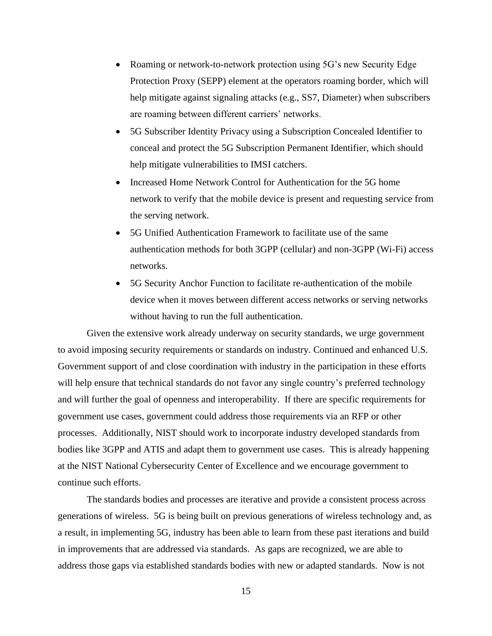- Roaming or network-to-network protection using 5G's new Security Edge Protection Proxy (SEPP) element at the operators roaming border, which will help mitigate against signaling attacks (e.g., SS7, Diameter) when subscribers are roaming between different carriers' networks.
- 5G Subscriber Identity Privacy using a Subscription Concealed Identifier to conceal and protect the 5G Subscription Permanent Identifier, which should help mitigate vulnerabilities to IMSI catchers.
- Increased Home Network Control for Authentication for the 5G home network to verify that the mobile device is present and requesting service from the serving network.
- 5G Unified Authentication Framework to facilitate use of the same authentication methods for both 3GPP (cellular) and non-3GPP (Wi-Fi) access networks.
- 5G Security Anchor Function to facilitate re-authentication of the mobile device when it moves between different access networks or serving networks without having to run the full authentication.

Given the extensive work already underway on security standards, we urge government to avoid imposing security requirements or standards on industry. Continued and enhanced U.S. Government support of and close coordination with industry in the participation in these efforts will help ensure that technical standards do not favor any single country's preferred technology and will further the goal of openness and interoperability. If there are specific requirements for government use cases, government could address those requirements via an RFP or other processes. Additionally, NIST should work to incorporate industry developed standards from bodies like 3GPP and ATIS and adapt them to government use cases. This is already happening at the NIST National Cybersecurity Center of Excellence and we encourage government to continue such efforts.

The standards bodies and processes are iterative and provide a consistent process across generations of wireless. 5G is being built on previous generations of wireless technology and, as a result, in implementing 5G, industry has been able to learn from these past iterations and build in improvements that are addressed via standards. As gaps are recognized, we are able to address those gaps via established standards bodies with new or adapted standards. Now is not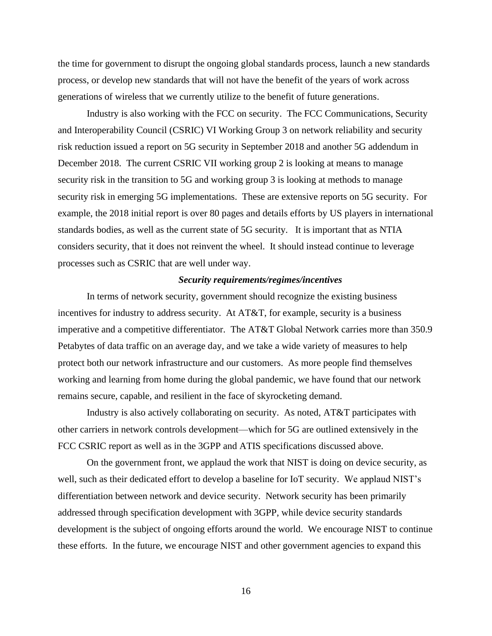the time for government to disrupt the ongoing global standards process, launch a new standards process, or develop new standards that will not have the benefit of the years of work across generations of wireless that we currently utilize to the benefit of future generations.

Industry is also working with the FCC on security. The FCC Communications, Security and Interoperability Council (CSRIC) VI Working Group 3 on network reliability and security risk reduction issued a report on 5G security in September 2018 and another 5G addendum in December 2018. The current CSRIC VII working group 2 is looking at means to manage security risk in the transition to 5G and working group 3 is looking at methods to manage security risk in emerging 5G implementations. These are extensive reports on 5G security. For example, the 2018 initial report is over 80 pages and details efforts by US players in international standards bodies, as well as the current state of 5G security. It is important that as NTIA considers security, that it does not reinvent the wheel. It should instead continue to leverage processes such as CSRIC that are well under way.

# *Security requirements/regimes/incentives*

In terms of network security, government should recognize the existing business incentives for industry to address security. At AT&T, for example, security is a business imperative and a competitive differentiator. The AT&T Global Network carries more than 350.9 Petabytes of data traffic on an average day, and we take a wide variety of measures to help protect both our network infrastructure and our customers. As more people find themselves working and learning from home during the global pandemic, we have found that our network remains secure, capable, and resilient in the face of skyrocketing demand.

Industry is also actively collaborating on security. As noted, AT&T participates with other carriers in network controls development—which for 5G are outlined extensively in the FCC CSRIC report as well as in the 3GPP and ATIS specifications discussed above.

On the government front, we applaud the work that NIST is doing on device security, as well, such as their dedicated effort to develop a baseline for IoT security. We applaud NIST's differentiation between network and device security. Network security has been primarily addressed through specification development with 3GPP, while device security standards development is the subject of ongoing efforts around the world. We encourage NIST to continue these efforts. In the future, we encourage NIST and other government agencies to expand this